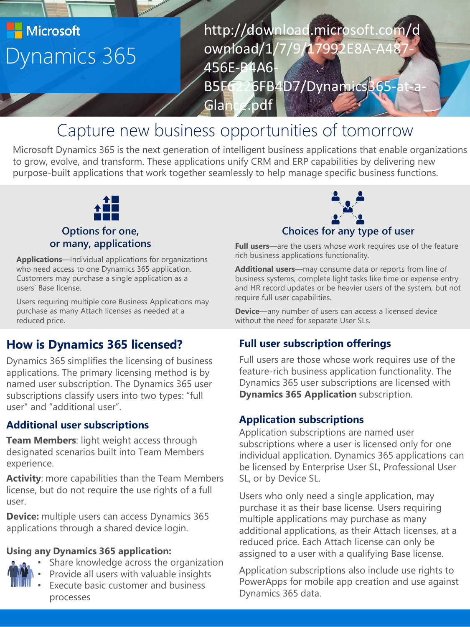

## Capture new business opportunities of tomorrow

Microsoft Dynamics 365 is the next generation of intelligent business applications that enable organizations to grow, evolve, and transform. These applications unify CRM and ERP capabilities by delivering new purpose-built applications that work together seamlessly to help manage specific business functions.



#### **Applications**—Individual applications for organizations who need access to one Dynamics 365 application. Customers may purchase a single application as a users' Base license.

Users requiring multiple core Business Applications may purchase as many Attach licenses as needed at a reduced price.

### **How is Dynamics 365 licensed?**

Dynamics 365 simplifies the licensing of business applications. The primary licensing method is by named user subscription. The Dynamics 365 user subscriptions classify users into two types: "full user" and "additional user".

### **Additional user subscriptions**

**Team Members**: light weight access through designated scenarios built into Team Members experience.

**Activity**: more capabilities than the Team Members license, but do not require the use rights of a full user.

**Device:** multiple users can access Dynamics 365 applications through a shared device login.

#### **Using any Dynamics 365 application:**



- Share knowledge across the organization
- Provide all users with valuable insights
- Execute basic customer and business processes



**Full users**—are the users whose work requires use of the feature rich business applications functionality.

**Additional users**—may consume data or reports from line of business systems, complete light tasks like time or expense entry and HR record updates or be heavier users of the system, but not require full user capabilities.

**Device**—any number of users can access a licensed device without the need for separate User SLs.

### **Full user subscription offerings**

Full users are those whose work requires use of the feature-rich business application functionality. The Dynamics 365 user subscriptions are licensed with **Dynamics 365 Application** subscription.

### **Application subscriptions**

Application subscriptions are named user subscriptions where a user is licensed only for one individual application. Dynamics 365 applications can be licensed by Enterprise User SL, Professional User SL, or by Device SL.

Users who only need a single application, may purchase it as their base license. Users requiring multiple applications may purchase as many additional applications, as their Attach licenses, at a reduced price. Each Attach license can only be assigned to a user with a qualifying Base license.

Application subscriptions also include use rights to PowerApps for mobile app creation and use against Dynamics 365 data.